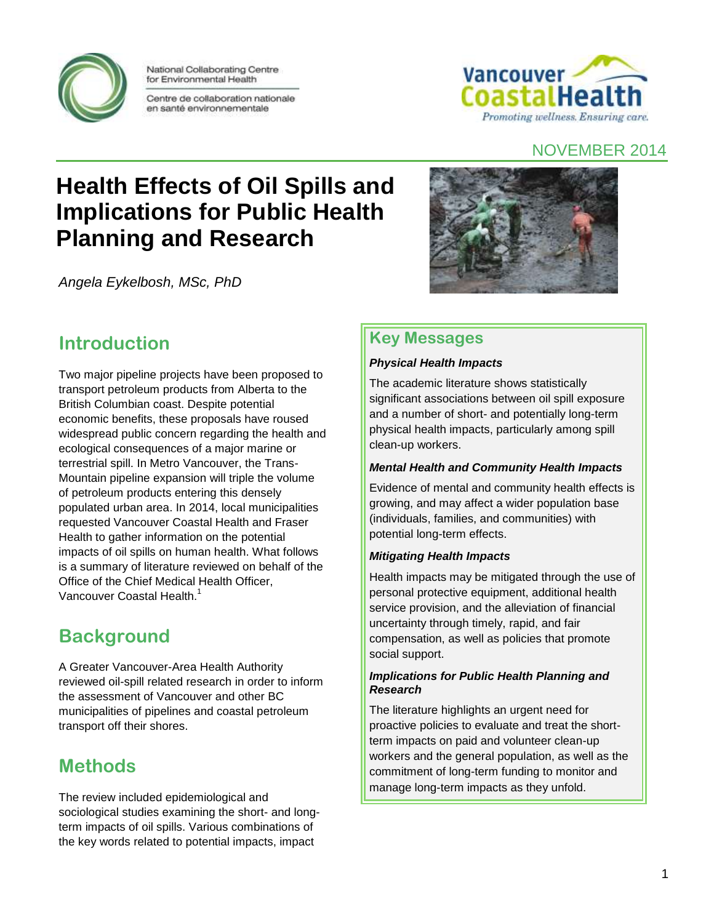

National Collaborating Centre for Environmental Health

Centre de collaboration nationale en santé environnementale



#### NOVEMBER 2014

# **Health Effects of Oil Spills and Implications for Public Health Planning and Research**

*Angela Eykelbosh, MSc, PhD*



### **Key Messages**

#### *Physical Health Impacts*

The academic literature shows statistically significant associations between oil spill exposure and a number of short- and potentially long-term physical health impacts, particularly among spill clean-up workers.

#### *Mental Health and Community Health Impacts*

Evidence of mental and community health effects is growing, and may affect a wider population base (individuals, families, and communities) with potential long-term effects.

#### *Mitigating Health Impacts*

Health impacts may be mitigated through the use of personal protective equipment, additional health service provision, and the alleviation of financial uncertainty through timely, rapid, and fair compensation, as well as policies that promote social support.

#### *Implications for Public Health Planning and Research*

The literature highlights an urgent need for proactive policies to evaluate and treat the shortterm impacts on paid and volunteer clean-up workers and the general population, as well as the commitment of long-term funding to monitor and manage long-term impacts as they unfold.

### **Introduction**

Two major pipeline projects have been proposed to transport petroleum products from Alberta to the British Columbian coast. Despite potential economic benefits, these proposals have roused widespread public concern regarding the health and ecological consequences of a major marine or terrestrial spill. In Metro Vancouver, the Trans-Mountain pipeline expansion will triple the volume of petroleum products entering this densely populated urban area. In 2014, local municipalities requested Vancouver Coastal Health and Fraser Health to gather information on the potential impacts of oil spills on human health. What follows is a summary of literature reviewed on behalf of the Office of the Chief Medical Health Officer, Vancouver Coastal Health<sup>1</sup>

## **Background**

A Greater Vancouver-Area Health Authority reviewed oil-spill related research in order to inform the assessment of Vancouver and other BC municipalities of pipelines and coastal petroleum transport off their shores.

## **Methods**

The review included epidemiological and sociological studies examining the short- and longterm impacts of oil spills. Various combinations of the key words related to potential impacts, impact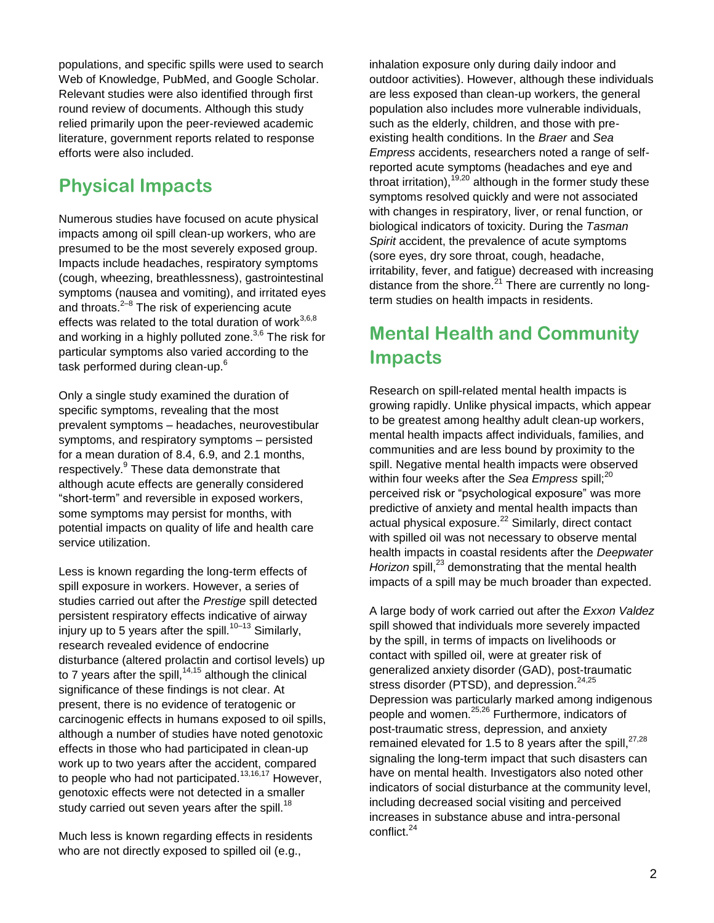populations, and specific spills were used to search Web of Knowledge, PubMed, and Google Scholar. Relevant studies were also identified through first round review of documents. Although this study relied primarily upon the peer-reviewed academic literature, government reports related to response efforts were also included.

### **Physical Impacts**

Numerous studies have focused on acute physical impacts among oil spill clean-up workers, who are presumed to be the most severely exposed group. Impacts include headaches, respiratory symptoms (cough, wheezing, breathlessness), gastrointestinal symptoms (nausea and vomiting), and irritated eyes and throats. $2^{-8}$  The risk of experiencing acute effects was related to the total duration of work $^{3,6,8}$ and working in a highly polluted zone.<sup>3,6</sup> The risk for particular symptoms also varied according to the task performed during clean-up.<sup>6</sup>

Only a single study examined the duration of specific symptoms, revealing that the most prevalent symptoms – headaches, neurovestibular symptoms, and respiratory symptoms – persisted for a mean duration of 8.4, 6.9, and 2.1 months, respectively.<sup>9</sup> These data demonstrate that although acute effects are generally considered "short-term" and reversible in exposed workers, some symptoms may persist for months, with potential impacts on quality of life and health care service utilization.

Less is known regarding the long-term effects of spill exposure in workers. However, a series of studies carried out after the *Prestige* spill detected persistent respiratory effects indicative of airway injury up to 5 years after the spill.<sup>10–13</sup> Similarly, research revealed evidence of endocrine disturbance (altered prolactin and cortisol levels) up to 7 years after the spill,  $14,15$  although the clinical significance of these findings is not clear. At present, there is no evidence of teratogenic or carcinogenic effects in humans exposed to oil spills, although a number of studies have noted genotoxic effects in those who had participated in clean-up work up to two years after the accident, compared to people who had not participated.<sup>13,16,17</sup> However, genotoxic effects were not detected in a smaller study carried out seven years after the spill.<sup>18</sup>

Much less is known regarding effects in residents who are not directly exposed to spilled oil (e.g.,

inhalation exposure only during daily indoor and outdoor activities). However, although these individuals are less exposed than clean-up workers, the general population also includes more vulnerable individuals, such as the elderly, children, and those with preexisting health conditions. In the *Braer* and *Sea Empress* accidents, researchers noted a range of selfreported acute symptoms (headaches and eye and throat irritation),  $19,20$  although in the former study these symptoms resolved quickly and were not associated with changes in respiratory, liver, or renal function, or biological indicators of toxicity. During the *Tasman Spirit* accident, the prevalence of acute symptoms (sore eyes, dry sore throat, cough, headache, irritability, fever, and fatigue) decreased with increasing distance from the shore. $^{21}$  There are currently no longterm studies on health impacts in residents.

## **Mental Health and Community Impacts**

Research on spill-related mental health impacts is growing rapidly. Unlike physical impacts, which appear to be greatest among healthy adult clean-up workers, mental health impacts affect individuals, families, and communities and are less bound by proximity to the spill. Negative mental health impacts were observed within four weeks after the *Sea Empress* spill;<sup>20</sup> perceived risk or "psychological exposure" was more predictive of anxiety and mental health impacts than actual physical exposure.<sup>22</sup> Similarly, direct contact with spilled oil was not necessary to observe mental health impacts in coastal residents after the *Deepwater*  Horizon spill,<sup>23</sup> demonstrating that the mental health impacts of a spill may be much broader than expected.

A large body of work carried out after the *Exxon Valdez* spill showed that individuals more severely impacted by the spill, in terms of impacts on livelihoods or contact with spilled oil, were at greater risk of generalized anxiety disorder (GAD), post-traumatic stress disorder (PTSD), and depression.<sup>24,25</sup> Depression was particularly marked among indigenous people and women.25,26 Furthermore, indicators of post-traumatic stress, depression, and anxiety remained elevated for 1.5 to 8 years after the spill, $27,28$ signaling the long-term impact that such disasters can have on mental health. Investigators also noted other indicators of social disturbance at the community level, including decreased social visiting and perceived increases in substance abuse and intra-personal conflict.<sup>24</sup>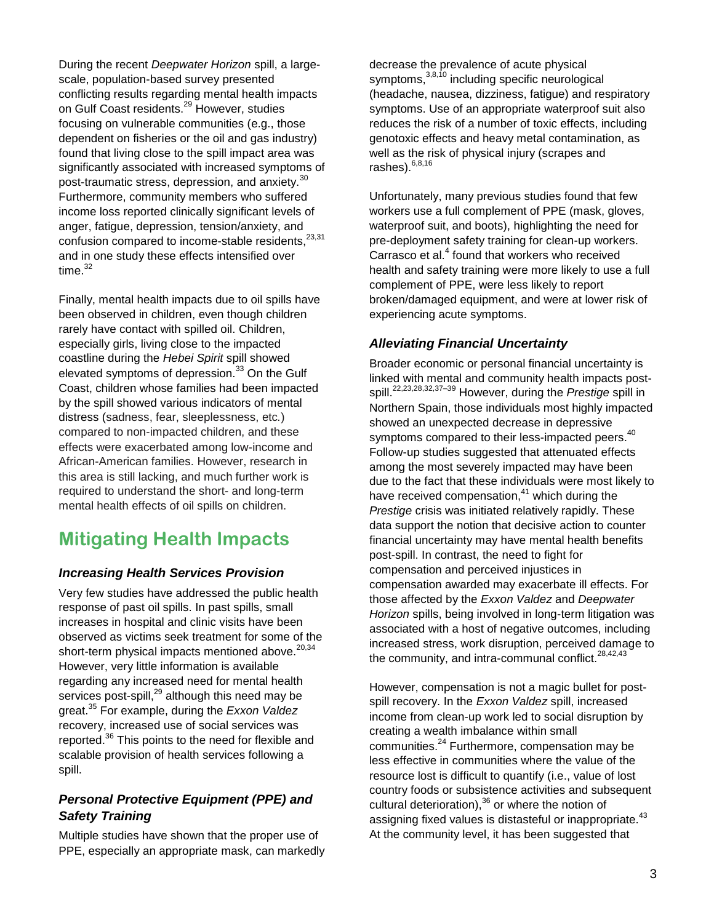During the recent *Deepwater Horizon* spill, a largescale, population-based survey presented conflicting results regarding mental health impacts on Gulf Coast residents.<sup>29</sup> However, studies focusing on vulnerable communities (e.g., those dependent on fisheries or the oil and gas industry) found that living close to the spill impact area was significantly associated with increased symptoms of post-traumatic stress, depression, and anxiety.<sup>30</sup> Furthermore, community members who suffered income loss reported clinically significant levels of anger, fatigue, depression, tension/anxiety, and confusion compared to income-stable residents, 23,31 and in one study these effects intensified over time. $32$ 

Finally, mental health impacts due to oil spills have been observed in children, even though children rarely have contact with spilled oil. Children, especially girls, living close to the impacted coastline during the *Hebei Spirit* spill showed elevated symptoms of depression.<sup>33</sup> On the Gulf Coast, children whose families had been impacted by the spill showed various indicators of mental distress (sadness, fear, sleeplessness, etc*.*) compared to non-impacted children, and these effects were exacerbated among low-income and African-American families. However, research in this area is still lacking, and much further work is required to understand the short- and long-term mental health effects of oil spills on children.

## **Mitigating Health Impacts**

#### *Increasing Health Services Provision*

Very few studies have addressed the public health response of past oil spills. In past spills, small increases in hospital and clinic visits have been observed as victims seek treatment for some of the short-term physical impacts mentioned above.<sup>20,34</sup> However, very little information is available regarding any increased need for mental health services post-spill,<sup>29</sup> although this need may be great.<sup>35</sup> For example, during the *Exxon Valdez* recovery, increased use of social services was reported.<sup>36</sup> This points to the need for flexible and scalable provision of health services following a spill.

#### *Personal Protective Equipment (PPE) and Safety Training*

Multiple studies have shown that the proper use of PPE, especially an appropriate mask, can markedly

decrease the prevalence of acute physical symptoms, 3,8,10 including specific neurological (headache, nausea, dizziness, fatigue) and respiratory symptoms. Use of an appropriate waterproof suit also reduces the risk of a number of toxic effects, including genotoxic effects and heavy metal contamination, as well as the risk of physical injury (scrapes and rashes). $6,8,16$ 

Unfortunately, many previous studies found that few workers use a full complement of PPE (mask, gloves, waterproof suit, and boots), highlighting the need for pre-deployment safety training for clean-up workers. Carrasco et al.<sup>4</sup> found that workers who received health and safety training were more likely to use a full complement of PPE, were less likely to report broken/damaged equipment, and were at lower risk of experiencing acute symptoms.

#### *Alleviating Financial Uncertainty*

Broader economic or personal financial uncertainty is linked with mental and community health impacts postspill.22,23,28,32,37–39 However, during the *Prestige* spill in Northern Spain, those individuals most highly impacted showed an unexpected decrease in depressive symptoms compared to their less-impacted peers.<sup>40</sup> Follow-up studies suggested that attenuated effects among the most severely impacted may have been due to the fact that these individuals were most likely to have received compensation, $41$  which during the *Prestige* crisis was initiated relatively rapidly. These data support the notion that decisive action to counter financial uncertainty may have mental health benefits post-spill. In contrast, the need to fight for compensation and perceived injustices in compensation awarded may exacerbate ill effects. For those affected by the *Exxon Valdez* and *Deepwater Horizon* spills, being involved in long-term litigation was associated with a host of negative outcomes, including increased stress, work disruption, perceived damage to the community, and intra-communal conflict. $28,42,43$ 

However, compensation is not a magic bullet for postspill recovery. In the *Exxon Valdez* spill, increased income from clean-up work led to social disruption by creating a wealth imbalance within small communities.<sup>24</sup> Furthermore, compensation may be less effective in communities where the value of the resource lost is difficult to quantify (i.e., value of lost country foods or subsistence activities and subsequent cultural deterioration), $36$  or where the notion of assigning fixed values is distasteful or inappropriate.<sup>43</sup> At the community level, it has been suggested that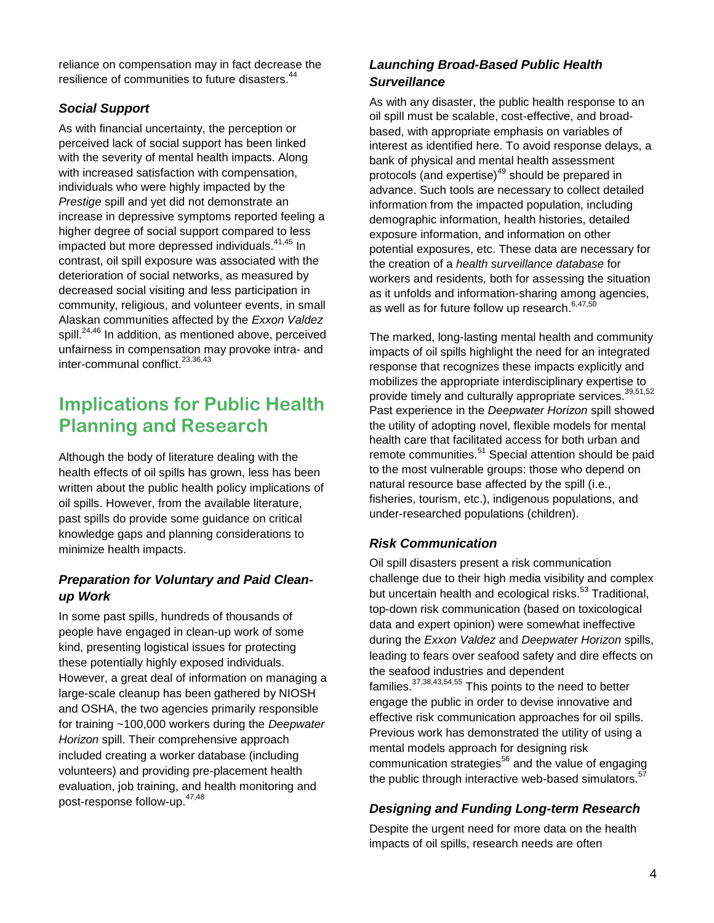reliance on compensation may in fact decrease the resilience of communities to future disasters.<sup>44</sup>

#### *Social Support*

As with financial uncertainty, the perception or perceived lack of social support has been linked with the severity of mental health impacts. Along with increased satisfaction with compensation, individuals who were highly impacted by the *Prestige* spill and yet did not demonstrate an increase in depressive symptoms reported feeling a higher degree of social support compared to less impacted but more depressed individuals.<sup>41,45</sup> In contrast, oil spill exposure was associated with the deterioration of social networks, as measured by decreased social visiting and less participation in community, religious, and volunteer events, in small Alaskan communities affected by the *Exxon Valdez* spill.<sup>24,46</sup> In addition, as mentioned above, perceived unfairness in compensation may provoke intra- and inter-communal conflict.<sup>23,36,43</sup>

### **Implications for Public Health Planning and Research**

Although the body of literature dealing with the health effects of oil spills has grown, less has been written about the public health policy implications of oil spills. However, from the available literature, past spills do provide some guidance on critical knowledge gaps and planning considerations to minimize health impacts.

#### *Preparation for Voluntary and Paid Cleanup Work*

In some past spills, hundreds of thousands of people have engaged in clean-up work of some kind, presenting logistical issues for protecting these potentially highly exposed individuals. However, a great deal of information on managing a large-scale cleanup has been gathered by NIOSH and OSHA, the two agencies primarily responsible for training ~100,000 workers during the *Deepwater Horizon* spill. Their comprehensive approach included creating a worker database (including volunteers) and providing pre-placement health evaluation, job training, and health monitoring and post-response follow-up.<sup>47,48</sup>

#### *Launching Broad-Based Public Health Surveillance*

As with any disaster, the public health response to an oil spill must be scalable, cost-effective, and broadbased, with appropriate emphasis on variables of interest as identified here. To avoid response delays, a bank of physical and mental health assessment protocols (and expertise)<sup>49</sup> should be prepared in advance. Such tools are necessary to collect detailed information from the impacted population, including demographic information, health histories, detailed exposure information, and information on other potential exposures, etc. These data are necessary for the creation of a *health surveillance database* for workers and residents*,* both for assessing the situation as it unfolds and information-sharing among agencies, as well as for future follow up research.  $6,47,50$ 

The marked, long-lasting mental health and community impacts of oil spills highlight the need for an integrated response that recognizes these impacts explicitly and mobilizes the appropriate interdisciplinary expertise to provide timely and culturally appropriate services.  $39,51,52$ Past experience in the *Deepwater Horizon* spill showed the utility of adopting novel, flexible models for mental health care that facilitated access for both urban and remote communities.<sup>51</sup> Special attention should be paid to the most vulnerable groups: those who depend on natural resource base affected by the spill (i.e., fisheries, tourism, etc.), indigenous populations, and under-researched populations (children).

#### *Risk Communication*

Oil spill disasters present a risk communication challenge due to their high media visibility and complex but uncertain health and ecological risks.<sup>53</sup> Traditional, top-down risk communication (based on toxicological data and expert opinion) were somewhat ineffective during the *Exxon Valdez* and *Deepwater Horizon* spills, leading to fears over seafood safety and dire effects on the seafood industries and dependent families.37,38,43,54,55 This points to the need to better engage the public in order to devise innovative and effective risk communication approaches for oil spills. Previous work has demonstrated the utility of using a mental models approach for designing risk communication strategies<sup>56</sup> and the value of engaging the public through interactive web-based simulators.<sup>57</sup>

#### *Designing and Funding Long-term Research*

Despite the urgent need for more data on the health impacts of oil spills, research needs are often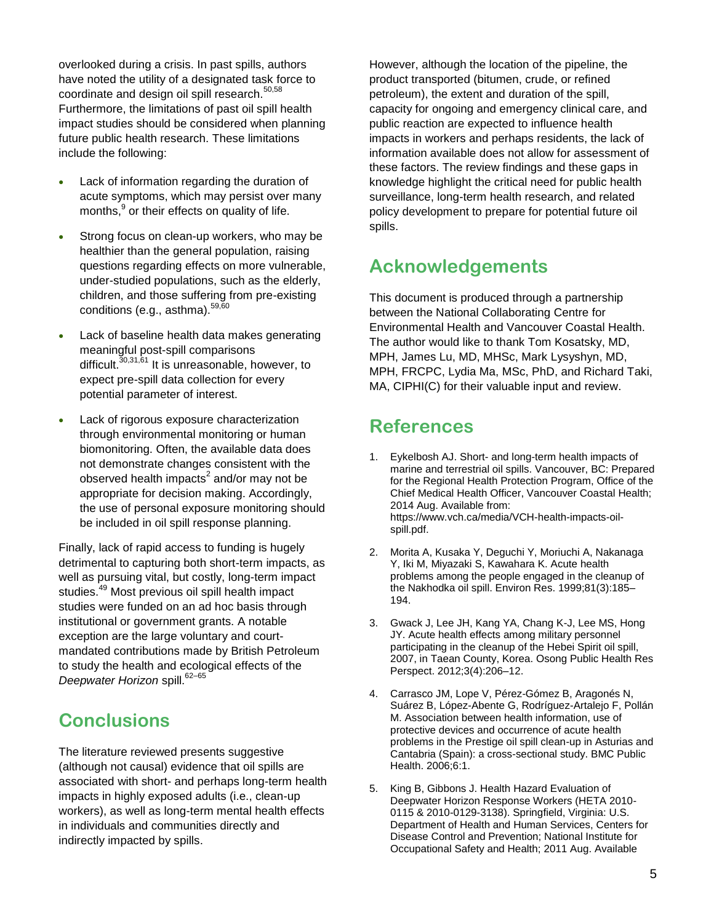overlooked during a crisis. In past spills, authors have noted the utility of a designated task force to coordinate and design oil spill research.<sup>50,58</sup> Furthermore, the limitations of past oil spill health impact studies should be considered when planning future public health research. These limitations include the following:

- Lack of information regarding the duration of acute symptoms, which may persist over many months,<sup>9</sup> or their effects on quality of life.
- Strong focus on clean-up workers, who may be healthier than the general population, raising questions regarding effects on more vulnerable, under-studied populations, such as the elderly, children, and those suffering from pre-existing conditions (e.g., asthma). $59,60$
- Lack of baseline health data makes generating meaningful post-spill comparisons difficult.<sup>30,31,61</sup> It is unreasonable, however, to expect pre-spill data collection for every potential parameter of interest.
- Lack of rigorous exposure characterization through environmental monitoring or human biomonitoring. Often, the available data does not demonstrate changes consistent with the observed health impacts<sup>2</sup> and/or may not be appropriate for decision making. Accordingly, the use of personal exposure monitoring should be included in oil spill response planning.

Finally, lack of rapid access to funding is hugely detrimental to capturing both short-term impacts, as well as pursuing vital, but costly, long-term impact studies.<sup>49</sup> Most previous oil spill health impact studies were funded on an ad hoc basis through institutional or government grants. A notable exception are the large voluntary and courtmandated contributions made by British Petroleum to study the health and ecological effects of the Deepwater Horizon spill.<sup>62-65</sup>

### **Conclusions**

The literature reviewed presents suggestive (although not causal) evidence that oil spills are associated with short- and perhaps long-term health impacts in highly exposed adults (i.e., clean-up workers), as well as long-term mental health effects in individuals and communities directly and indirectly impacted by spills.

However, although the location of the pipeline, the product transported (bitumen, crude, or refined petroleum), the extent and duration of the spill, capacity for ongoing and emergency clinical care, and public reaction are expected to influence health impacts in workers and perhaps residents, the lack of information available does not allow for assessment of these factors. The review findings and these gaps in knowledge highlight the critical need for public health surveillance, long-term health research, and related policy development to prepare for potential future oil spills.

### **Acknowledgements**

This document is produced through a partnership between the National Collaborating Centre for Environmental Health and Vancouver Coastal Health. The author would like to thank Tom Kosatsky, MD, MPH, James Lu, MD, MHSc, Mark Lysyshyn, MD, MPH, FRCPC, Lydia Ma, MSc, PhD, and Richard Taki, MA, CIPHI(C) for their valuable input and review.

### **References**

- 1. Eykelbosh AJ. Short- and long-term health impacts of marine and terrestrial oil spills. Vancouver, BC: Prepared for the Regional Health Protection Program, Office of the Chief Medical Health Officer, Vancouver Coastal Health; 2014 Aug. Available from: https://www.vch.ca/media/VCH-health-impacts-oilspill.pdf.
- 2. Morita A, Kusaka Y, Deguchi Y, Moriuchi A, Nakanaga Y, Iki M, Miyazaki S, Kawahara K. Acute health problems among the people engaged in the cleanup of the Nakhodka oil spill. Environ Res. 1999;81(3):185– 194.
- 3. Gwack J, Lee JH, Kang YA, Chang K-J, Lee MS, Hong JY. Acute health effects among military personnel participating in the cleanup of the Hebei Spirit oil spill, 2007, in Taean County, Korea. Osong Public Health Res Perspect. 2012;3(4):206–12.
- 4. Carrasco JM, Lope V, Pérez-Gómez B, Aragonés N, Suárez B, López-Abente G, Rodríguez-Artalejo F, Pollán M. Association between health information, use of protective devices and occurrence of acute health problems in the Prestige oil spill clean-up in Asturias and Cantabria (Spain): a cross-sectional study. BMC Public Health. 2006;6:1.
- 5. King B, Gibbons J. Health Hazard Evaluation of Deepwater Horizon Response Workers (HETA 2010- 0115 & 2010-0129-3138). Springfield, Virginia: U.S. Department of Health and Human Services, Centers for Disease Control and Prevention; National Institute for Occupational Safety and Health; 2011 Aug. Available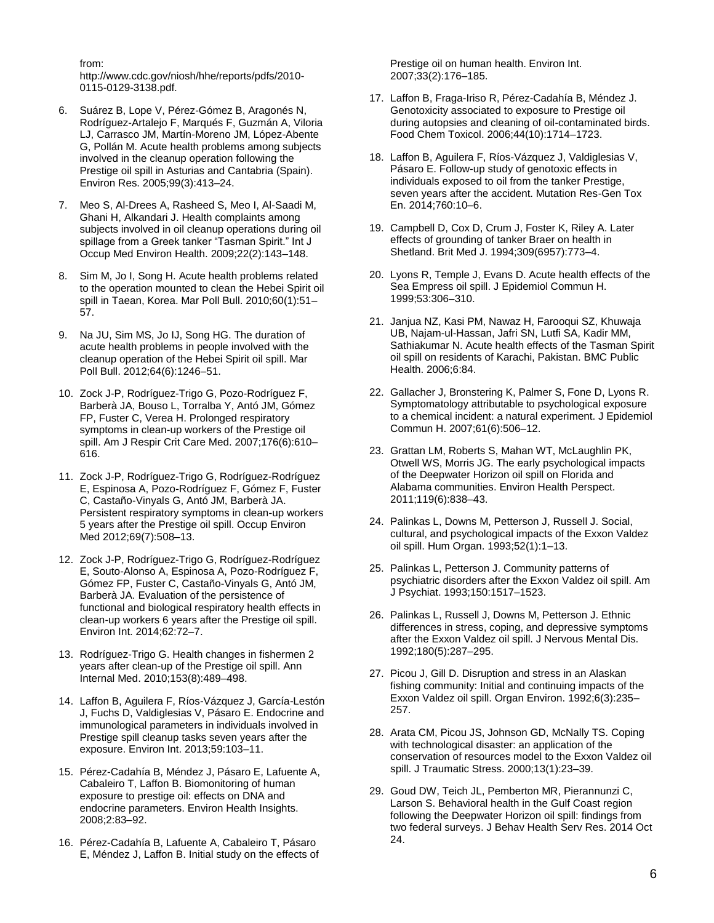from:

http://www.cdc.gov/niosh/hhe/reports/pdfs/2010- 0115-0129-3138.pdf.

- 6. Suárez B, Lope V, Pérez-Gómez B, Aragonés N, Rodríguez-Artalejo F, Marqués F, Guzmán A, Viloria LJ, Carrasco JM, Martín-Moreno JM, López-Abente G, Pollán M. Acute health problems among subjects involved in the cleanup operation following the Prestige oil spill in Asturias and Cantabria (Spain). Environ Res. 2005;99(3):413–24.
- 7. Meo S, Al-Drees A, Rasheed S, Meo I, Al-Saadi M, Ghani H, Alkandari J. Health complaints among subjects involved in oil cleanup operations during oil spillage from a Greek tanker "Tasman Spirit." Int J Occup Med Environ Health. 2009;22(2):143–148.
- 8. Sim M, Jo I, Song H. Acute health problems related to the operation mounted to clean the Hebei Spirit oil spill in Taean, Korea. Mar Poll Bull. 2010;60(1):51– 57.
- 9. Na JU, Sim MS, Jo IJ, Song HG. The duration of acute health problems in people involved with the cleanup operation of the Hebei Spirit oil spill. Mar Poll Bull. 2012;64(6):1246–51.
- 10. Zock J-P, Rodríguez-Trigo G, Pozo-Rodríguez F, Barberà JA, Bouso L, Torralba Y, Antó JM, Gómez FP, Fuster C, Verea H. Prolonged respiratory symptoms in clean-up workers of the Prestige oil spill. Am J Respir Crit Care Med. 2007;176(6):610– 616.
- 11. Zock J-P, Rodríguez-Trigo G, Rodríguez-Rodríguez E, Espinosa A, Pozo-Rodríguez F, Gómez F, Fuster C, Castaño-Vinyals G, Antó JM, Barberà JA. Persistent respiratory symptoms in clean-up workers 5 years after the Prestige oil spill. Occup Environ Med 2012;69(7):508–13.
- 12. Zock J-P, Rodríguez-Trigo G, Rodríguez-Rodríguez E, Souto-Alonso A, Espinosa A, Pozo-Rodríguez F, Gómez FP, Fuster C, Castaño-Vinyals G, Antó JM, Barberà JA. Evaluation of the persistence of functional and biological respiratory health effects in clean-up workers 6 years after the Prestige oil spill. Environ Int. 2014;62:72–7.
- 13. Rodríguez-Trigo G. Health changes in fishermen 2 years after clean-up of the Prestige oil spill. Ann Internal Med. 2010;153(8):489–498.
- 14. Laffon B, Aguilera F, Ríos-Vázquez J, García-Lestón J, Fuchs D, Valdiglesias V, Pásaro E. Endocrine and immunological parameters in individuals involved in Prestige spill cleanup tasks seven years after the exposure. Environ Int. 2013;59:103–11.
- 15. Pérez-Cadahía B, Méndez J, Pásaro E, Lafuente A, Cabaleiro T, Laffon B. Biomonitoring of human exposure to prestige oil: effects on DNA and endocrine parameters. Environ Health Insights. 2008;2:83–92.
- 16. Pérez-Cadahía B, Lafuente A, Cabaleiro T, Pásaro E, Méndez J, Laffon B. Initial study on the effects of

Prestige oil on human health. Environ Int. 2007;33(2):176–185.

- 17. Laffon B, Fraga-Iriso R, Pérez-Cadahía B, Méndez J. Genotoxicity associated to exposure to Prestige oil during autopsies and cleaning of oil-contaminated birds. Food Chem Toxicol. 2006;44(10):1714–1723.
- 18. Laffon B, Aguilera F, Ríos-Vázquez J, Valdiglesias V, Pásaro E. Follow-up study of genotoxic effects in individuals exposed to oil from the tanker Prestige, seven years after the accident. Mutation Res-Gen Tox En. 2014;760:10–6.
- 19. Campbell D, Cox D, Crum J, Foster K, Riley A. Later effects of grounding of tanker Braer on health in Shetland. Brit Med J. 1994;309(6957):773–4.
- 20. Lyons R, Temple J, Evans D. Acute health effects of the Sea Empress oil spill. J Epidemiol Commun H. 1999;53:306–310.
- 21. Janjua NZ, Kasi PM, Nawaz H, Farooqui SZ, Khuwaja UB, Najam-ul-Hassan, Jafri SN, Lutfi SA, Kadir MM, Sathiakumar N. Acute health effects of the Tasman Spirit oil spill on residents of Karachi, Pakistan. BMC Public Health. 2006;6:84.
- 22. Gallacher J, Bronstering K, Palmer S, Fone D, Lyons R. Symptomatology attributable to psychological exposure to a chemical incident: a natural experiment. J Epidemiol Commun H. 2007;61(6):506–12.
- 23. Grattan LM, Roberts S, Mahan WT, McLaughlin PK, Otwell WS, Morris JG. The early psychological impacts of the Deepwater Horizon oil spill on Florida and Alabama communities. Environ Health Perspect. 2011;119(6):838–43.
- 24. Palinkas L, Downs M, Petterson J, Russell J. Social, cultural, and psychological impacts of the Exxon Valdez oil spill. Hum Organ. 1993;52(1):1–13.
- 25. Palinkas L, Petterson J. Community patterns of psychiatric disorders after the Exxon Valdez oil spill. Am J Psychiat. 1993;150:1517–1523.
- 26. Palinkas L, Russell J, Downs M, Petterson J. Ethnic differences in stress, coping, and depressive symptoms after the Exxon Valdez oil spill. J Nervous Mental Dis. 1992;180(5):287–295.
- 27. Picou J, Gill D. Disruption and stress in an Alaskan fishing community: Initial and continuing impacts of the Exxon Valdez oil spill. Organ Environ. 1992;6(3):235– 257.
- 28. Arata CM, Picou JS, Johnson GD, McNally TS. Coping with technological disaster: an application of the conservation of resources model to the Exxon Valdez oil spill. J Traumatic Stress. 2000;13(1):23–39.
- 29. Goud DW, Teich JL, Pemberton MR, Pierannunzi C, Larson S. Behavioral health in the Gulf Coast region following the Deepwater Horizon oil spill: findings from two federal surveys. J Behav Health Serv Res. 2014 Oct 24.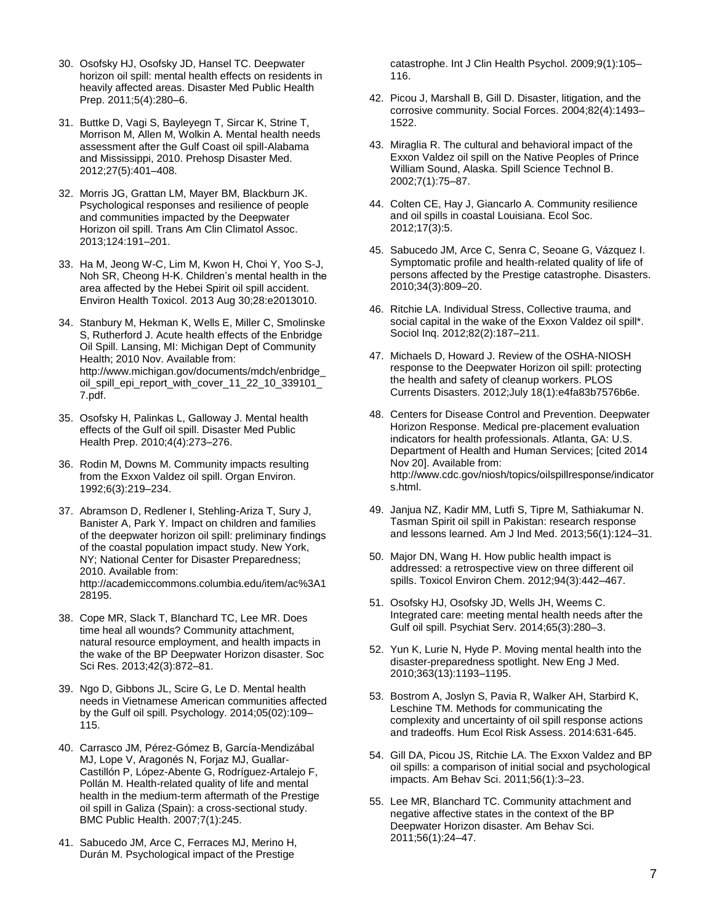- 30. Osofsky HJ, Osofsky JD, Hansel TC. Deepwater horizon oil spill: mental health effects on residents in heavily affected areas. Disaster Med Public Health Prep. 2011;5(4):280–6.
- 31. Buttke D, Vagi S, Bayleyegn T, Sircar K, Strine T, Morrison M, Allen M, Wolkin A. Mental health needs assessment after the Gulf Coast oil spill-Alabama and Mississippi, 2010. Prehosp Disaster Med. 2012;27(5):401–408.
- 32. Morris JG, Grattan LM, Mayer BM, Blackburn JK. Psychological responses and resilience of people and communities impacted by the Deepwater Horizon oil spill. Trans Am Clin Climatol Assoc. 2013;124:191–201.
- 33. Ha M, Jeong W-C, Lim M, Kwon H, Choi Y, Yoo S-J, Noh SR, Cheong H-K. Children's mental health in the area affected by the Hebei Spirit oil spill accident. Environ Health Toxicol. 2013 Aug 30;28:e2013010.
- 34. Stanbury M, Hekman K, Wells E, Miller C, Smolinske S, Rutherford J. Acute health effects of the Enbridge Oil Spill. Lansing, MI: Michigan Dept of Community Health; 2010 Nov. Available from: http://www.michigan.gov/documents/mdch/enbridge\_ oil\_spill\_epi\_report\_with\_cover\_11\_22\_10\_339101\_ 7.pdf.
- 35. Osofsky H, Palinkas L, Galloway J. Mental health effects of the Gulf oil spill. Disaster Med Public Health Prep. 2010;4(4):273–276.
- 36. Rodin M, Downs M. Community impacts resulting from the Exxon Valdez oil spill. Organ Environ. 1992;6(3):219–234.
- 37. Abramson D, Redlener I, Stehling-Ariza T, Sury J, Banister A, Park Y. Impact on children and families of the deepwater horizon oil spill: preliminary findings of the coastal population impact study. New York, NY; National Center for Disaster Preparedness; 2010. Available from: http://academiccommons.columbia.edu/item/ac%3A1 28195.
- 38. Cope MR, Slack T, Blanchard TC, Lee MR. Does time heal all wounds? Community attachment, natural resource employment, and health impacts in the wake of the BP Deepwater Horizon disaster. Soc Sci Res. 2013;42(3):872–81.
- 39. Ngo D, Gibbons JL, Scire G, Le D. Mental health needs in Vietnamese American communities affected by the Gulf oil spill. Psychology. 2014;05(02):109– 115.
- 40. Carrasco JM, Pérez-Gómez B, García-Mendizábal MJ, Lope V, Aragonés N, Forjaz MJ, Guallar-Castillón P, López-Abente G, Rodríguez-Artalejo F, Pollán M. Health-related quality of life and mental health in the medium-term aftermath of the Prestige oil spill in Galiza (Spain): a cross-sectional study. BMC Public Health. 2007;7(1):245.
- 41. Sabucedo JM, Arce C, Ferraces MJ, Merino H, Durán M. Psychological impact of the Prestige

catastrophe. Int J Clin Health Psychol. 2009;9(1):105– 116.

- 42. Picou J, Marshall B, Gill D. Disaster, litigation, and the corrosive community. Social Forces. 2004;82(4):1493– 1522.
- 43. Miraglia R. The cultural and behavioral impact of the Exxon Valdez oil spill on the Native Peoples of Prince William Sound, Alaska. Spill Science Technol B. 2002;7(1):75–87.
- 44. Colten CE, Hay J, Giancarlo A. Community resilience and oil spills in coastal Louisiana. Ecol Soc. 2012;17(3):5.
- 45. Sabucedo JM, Arce C, Senra C, Seoane G, Vázquez I. Symptomatic profile and health-related quality of life of persons affected by the Prestige catastrophe. Disasters. 2010;34(3):809–20.
- 46. Ritchie LA. Individual Stress, Collective trauma, and social capital in the wake of the Exxon Valdez oil spill\*. Sociol Inq. 2012;82(2):187–211.
- 47. Michaels D, Howard J. Review of the OSHA-NIOSH response to the Deepwater Horizon oil spill: protecting the health and safety of cleanup workers. PLOS Currents Disasters. 2012;July 18(1):e4fa83b7576b6e.
- 48. Centers for Disease Control and Prevention. Deepwater Horizon Response. Medical pre-placement evaluation indicators for health professionals. Atlanta, GA: U.S. Department of Health and Human Services; [cited 2014 Nov 20]. Available from: http://www.cdc.gov/niosh/topics/oilspillresponse/indicator s.html.
- 49. Janjua NZ, Kadir MM, Lutfi S, Tipre M, Sathiakumar N. Tasman Spirit oil spill in Pakistan: research response and lessons learned. Am J Ind Med. 2013;56(1):124–31.
- 50. Major DN, Wang H. How public health impact is addressed: a retrospective view on three different oil spills. Toxicol Environ Chem. 2012;94(3):442–467.
- 51. Osofsky HJ, Osofsky JD, Wells JH, Weems C. Integrated care: meeting mental health needs after the Gulf oil spill. Psychiat Serv. 2014;65(3):280–3.
- 52. Yun K, Lurie N, Hyde P. Moving mental health into the disaster-preparedness spotlight. New Eng J Med. 2010;363(13):1193–1195.
- 53. Bostrom A, Joslyn S, Pavia R, Walker AH, Starbird K, Leschine TM. Methods for communicating the complexity and uncertainty of oil spill response actions and tradeoffs. Hum Ecol Risk Assess. 2014:631-645.
- 54. Gill DA, Picou JS, Ritchie LA. The Exxon Valdez and BP oil spills: a comparison of initial social and psychological impacts. Am Behav Sci. 2011;56(1):3–23.
- 55. Lee MR, Blanchard TC. Community attachment and negative affective states in the context of the BP Deepwater Horizon disaster. Am Behav Sci. 2011;56(1):24–47.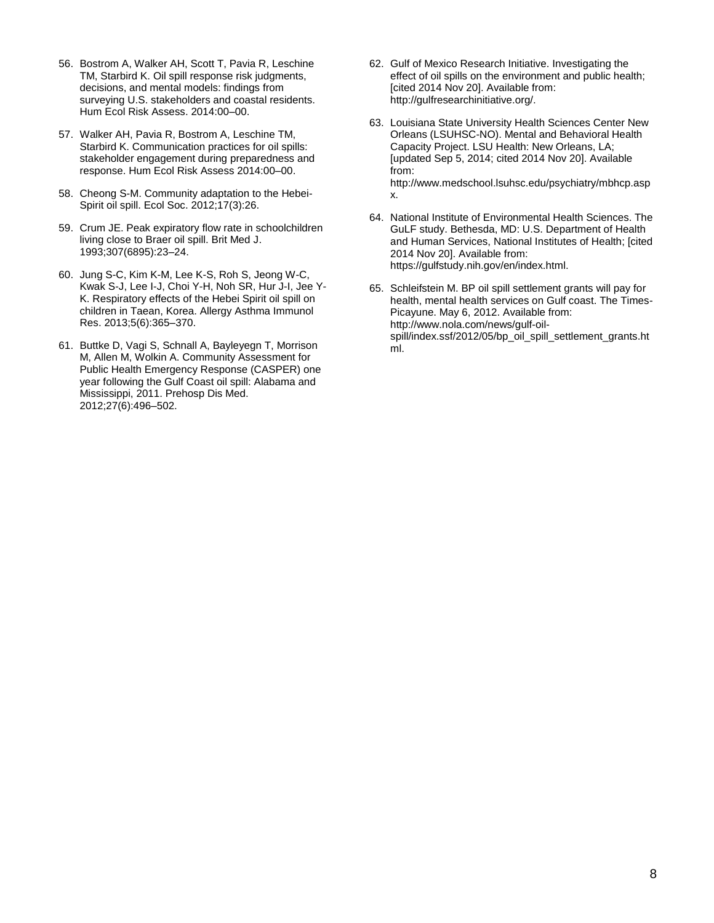- 56. Bostrom A, Walker AH, Scott T, Pavia R, Leschine TM, Starbird K. Oil spill response risk judgments, decisions, and mental models: findings from surveying U.S. stakeholders and coastal residents. Hum Ecol Risk Assess. 2014:00–00.
- 57. Walker AH, Pavia R, Bostrom A, Leschine TM, Starbird K. Communication practices for oil spills: stakeholder engagement during preparedness and response. Hum Ecol Risk Assess 2014:00–00.
- 58. Cheong S-M. Community adaptation to the Hebei-Spirit oil spill. Ecol Soc. 2012;17(3):26.
- 59. Crum JE. Peak expiratory flow rate in schoolchildren living close to Braer oil spill. Brit Med J. 1993;307(6895):23–24.
- 60. Jung S-C, Kim K-M, Lee K-S, Roh S, Jeong W-C, Kwak S-J, Lee I-J, Choi Y-H, Noh SR, Hur J-I, Jee Y-K. Respiratory effects of the Hebei Spirit oil spill on children in Taean, Korea. Allergy Asthma Immunol Res. 2013;5(6):365–370.
- 61. Buttke D, Vagi S, Schnall A, Bayleyegn T, Morrison M, Allen M, Wolkin A. Community Assessment for Public Health Emergency Response (CASPER) one year following the Gulf Coast oil spill: Alabama and Mississippi, 2011. Prehosp Dis Med. 2012;27(6):496–502.
- 62. Gulf of Mexico Research Initiative. Investigating the effect of oil spills on the environment and public health; [cited 2014 Nov 20]. Available from: http://gulfresearchinitiative.org/.
- 63. Louisiana State University Health Sciences Center New Orleans (LSUHSC-NO). Mental and Behavioral Health Capacity Project. LSU Health: New Orleans, LA; [updated Sep 5, 2014; cited 2014 Nov 20]. Available from: http://www.medschool.lsuhsc.edu/psychiatry/mbhcp.asp x.
- 64. National Institute of Environmental Health Sciences. The GuLF study. Bethesda, MD: U.S. Department of Health and Human Services, National Institutes of Health; [cited 2014 Nov 20]. Available from: https://gulfstudy.nih.gov/en/index.html.
- 65. Schleifstein M. BP oil spill settlement grants will pay for health, mental health services on Gulf coast. The Times-Picayune. May 6, 2012. Available from: http://www.nola.com/news/gulf-oilspill/index.ssf/2012/05/bp\_oil\_spill\_settlement\_grants.ht ml.